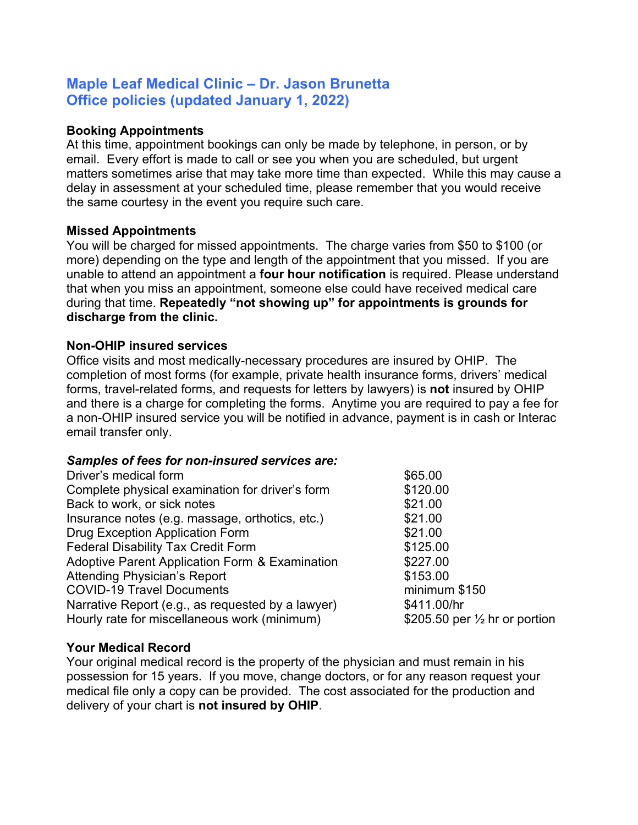# **Maple Leaf Medical Clinic – Dr. Jason Brunetta Office policies (updated January 1, 2022)**

#### **Booking Appointments**

At this time, appointment bookings can only be made by telephone, in person, or by email. Every effort is made to call or see you when you are scheduled, but urgent matters sometimes arise that may take more time than expected. While this may cause a delay in assessment at your scheduled time, please remember that you would receive the same courtesy in the event you require such care.

#### **Missed Appointments**

You will be charged for missed appointments. The charge varies from \$50 to \$100 (or more) depending on the type and length of the appointment that you missed. If you are unable to attend an appointment a **four hour notification** is required. Please understand that when you miss an appointment, someone else could have received medical care during that time. **Repeatedly "not showing up" for appointments is grounds for discharge from the clinic.**

#### **Non-OHIP insured services**

Office visits and most medically-necessary procedures are insured by OHIP. The completion of most forms (for example, private health insurance forms, drivers' medical forms, travel-related forms, and requests for letters by lawyers) is **not** insured by OHIP and there is a charge for completing the forms. Anytime you are required to pay a fee for a non-OHIP insured service you will be notified in advance, payment is in cash or Interac email transfer only.

#### *Samples of fees for non-insured services are:*

| Driver's medical form                                     | \$65.00  |
|-----------------------------------------------------------|----------|
| Complete physical examination for driver's form           | \$120.00 |
| Back to work, or sick notes                               | \$21.00  |
| Insurance notes (e.g. massage, orthotics, etc.)           | \$21.00  |
| <b>Drug Exception Application Form</b>                    | \$21.00  |
| <b>Federal Disability Tax Credit Form</b>                 | \$125.00 |
| <b>Adoptive Parent Application Form &amp; Examination</b> | \$227.00 |
| <b>Attending Physician's Report</b>                       | \$153.00 |
| <b>COVID-19 Travel Documents</b>                          | minimur  |
| Narrative Report (e.g., as requested by a lawyer)         | \$411.00 |
| Hourly rate for miscellaneous work (minimum)              | \$205.50 |
|                                                           |          |

minimum \$150  $$411.00/hr$ \$205.50 per  $\frac{1}{2}$  hr or portion

#### **Your Medical Record**

Your original medical record is the property of the physician and must remain in his possession for 15 years. If you move, change doctors, or for any reason request your medical file only a copy can be provided. The cost associated for the production and delivery of your chart is **not insured by OHIP**.